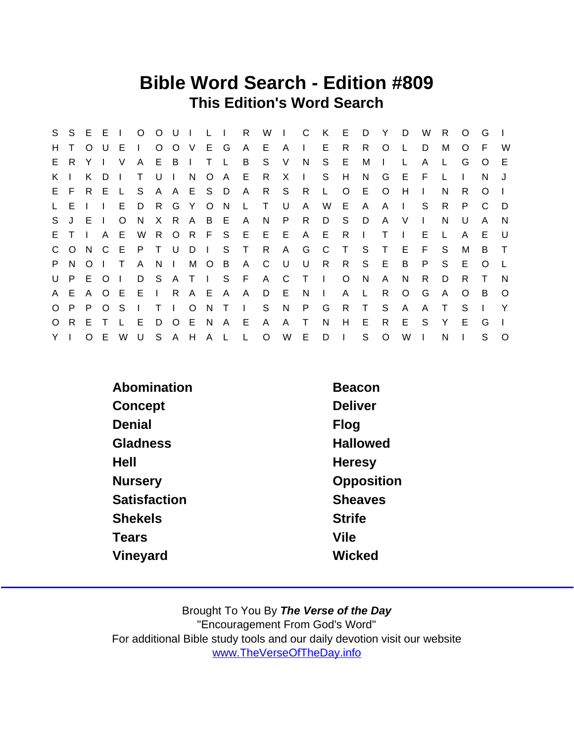## Bible Word Search - Edition #809 This Edition's Word Search

| S.           |       |          | S E E I        |              |              | $O$ $O$ $U$    |           | $\mathbf{I}$ | $\mathbf{L}$ $\mathbf{L}$ |               | R            | W            | $\blacksquare$ |              | K            | E            | D            | - Y          | D              | W            | R.     | $\circ$  | G        |          |
|--------------|-------|----------|----------------|--------------|--------------|----------------|-----------|--------------|---------------------------|---------------|--------------|--------------|----------------|--------------|--------------|--------------|--------------|--------------|----------------|--------------|--------|----------|----------|----------|
| H.           |       | $\Omega$ | U              | E.           | $\mathbf{L}$ | $\circ$        | $O$ V     |              |                           | E G           | A            | E.           | $\mathsf{A}$   | $\mathbf{L}$ | E            | R            | R.           | $\circ$      |                | D            | м      | $\Omega$ | F        | W        |
| E.           | R.    | Y        |                | V            | A            | E.             | B         | $\mathbf{I}$ | T.                        | $\mathsf{L}$  | B            | S.           | V              | N            | S.           | E            | M            | $\mathbf{I}$ |                | A            | L.     | G        | $\Omega$ | E        |
| K.           |       | K.       | D.             |              | $\mathsf{T}$ | U              |           | N.           |                           | O A           |              | $E$ R        | X              | $\mathbf{L}$ | S.           | H            | N.           | G            | E              | F.           |        |          | N.       |          |
|              | E F   | R E      |                | $\mathbf{L}$ | S S          |                |           | A A E S D    |                           |               | $\mathsf{A}$ | R            | S.             | R            | $\mathsf{L}$ | $\circ$      | E.           | $\circ$      | H              | $\mathbf{I}$ | N      | R.       | $\Omega$ |          |
| $\mathsf{L}$ | E.    |          | $\mathbf{I}$   | E.           | D            | R              |           | G Y          |                           | $O$ N         | L,           | $\top$       | U              | $\mathsf{A}$ | W            | E            | $\mathsf{A}$ | A            | $\blacksquare$ | S.           | R.     | P        | C        | D        |
| S.           | $J$ E |          | $\blacksquare$ | $\circ$      | N.           |                | X R A     |              |                           | B E           | $\mathsf{A}$ | N.           | P.             | R            | D            | S.           | D            | $\mathsf{A}$ | V              | $\mathbf{L}$ | N      | U        | A        | <b>N</b> |
| E.           |       |          | A              | E.           | W            |                | R O R     |              | F S                       |               |              | EEE          |                |              | A E          | - R          | $\Box$       | Τ            |                | Е            | L.     | A        | E.       | U.       |
|              | C O   | N.       | $\overline{C}$ | E            | P            | T U            |           | DIS          |                           |               | T            | R            | $\mathsf{A}$   | G            | $\mathbf{C}$ | $\top$       | S.           | $\top$       | E.             | F.           | S.     | М        | B        | $\top$   |
|              | P N O |          | $\mathbf{1}$   | $\top$       | $\mathsf{A}$ | N <sub>1</sub> |           | M            |                           | $O$ B         | A C          |              | U U            | U            | $\mathsf{R}$ | R            | S.           | E            | B              | P            | S.     | E        | $\Omega$ |          |
| U            | P.    | E.       | $\circ$ O      | $\mathbf{I}$ |              |                |           |              |                           | D S A T I S F |              | A            | C              | $T \cup$     |              | $\circ$      | <sup>N</sup> | A            | N.             | R.           | D      | R        | $\top$   | <b>N</b> |
|              | A E   |          | A O E          |              | EI.          |                |           | R A E A      |                           |               | $\mathsf{A}$ | D.           | E              | N            | $\mathbf{I}$ | A            | $\mathsf{L}$ | R.           | $\circ$        | G            | A      | $\Omega$ | B        | $\circ$  |
| $\circ$      | P.    | P        | $\Omega$       | -S           | $\mathbf{L}$ |                | $T \perp$ | $\circ$      | N T                       |               | $\mathbf{1}$ | S.           | N              | P            | G            | $\mathsf{R}$ | $\top$       | S.           | A              | A            | $\top$ | S        |          | Y        |
| $\circ$      | R E   |          | $\top$         |              | L E          |                | D O E     |              | N                         | A             | E            | $\mathsf{A}$ | A              | T            | N            | H            | E            | R.           | E.             | <sub>S</sub> | Y      | E        | G        |          |
| $Y \mid$     |       | $\Omega$ | -E             | W            | U            |                | S A H     |              | A L                       |               | L.           | $\circ$      | W              |              | E D          | $\mathbf{L}$ | S            | $\circ$      | W              |              | N      |          | S.       | $\Omega$ |

| Abomination     | <b>Beacon</b>   |
|-----------------|-----------------|
| Concept         | <b>Deliver</b>  |
| Denial          | Flog            |
| <b>Gladness</b> | <b>Hallowed</b> |
| Hell            | Heresy          |
| <b>Nursery</b>  | Opposition      |
| Satisfaction    | <b>Sheaves</b>  |
| <b>Shekels</b>  | <b>Strife</b>   |
| <b>Tears</b>    | Vile            |
| Vineyard        | Wicked          |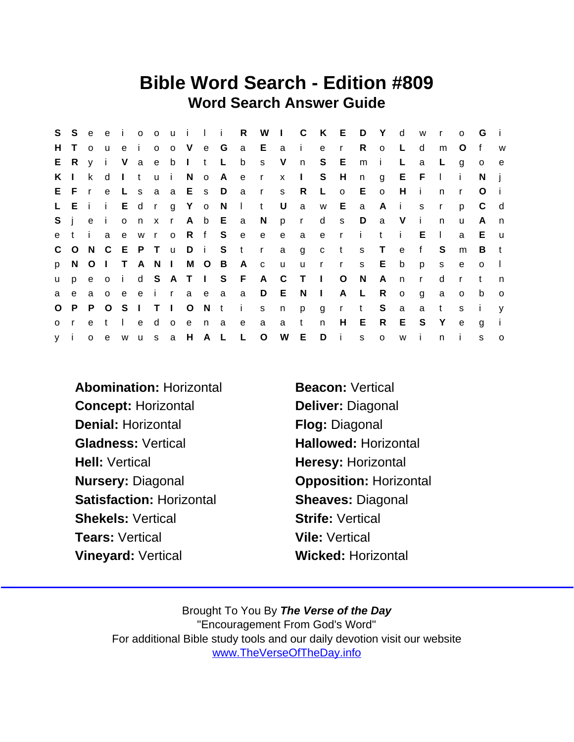## Bible Word Search - Edition #809 Word Search Answer Guide

| S.           | S.           | e e          | e             | $\mathbf{i}$ | 0 <sub>0</sub> |         |               |       | u i l i R       |                 |              | W I C          |              |              |              | K E D Y         |              | d            | W            | $\mathsf{r}$ | $\Omega$     | G            | $\mathbf{I}$ |
|--------------|--------------|--------------|---------------|--------------|----------------|---------|---------------|-------|-----------------|-----------------|--------------|----------------|--------------|--------------|--------------|-----------------|--------------|--------------|--------------|--------------|--------------|--------------|--------------|
| H.           | $\top$       | $\Omega$     | <b>u</b>      | e            | $\mathbf{i}$   | $\circ$ | o V e G       |       |                 |                 | a Eai        |                |              | e            | r            | R               | $\circ$      | L            | d            | m            | O            | f            | W            |
|              | E R          | $\mathsf{V}$ | $\mathbf{i}$  | V a e        |                |         | b I t         |       | −L.             | b               | S            | V              | n            | S.           | E            | m               | i.           | L            | a            | L.           | g            | $\circ$      | e            |
| K I          |              |              | k d           |              |                |         | Itui No A     |       |                 | e r             |              | $\mathsf{x}$ 1 |              |              | S H          | n               | g            | E F          |              | $\mathbf{L}$ | i.           | N.           |              |
|              | E F          | $\mathsf{r}$ | $\mathbf{e}$  |              |                |         | L s a a E s D |       |                 | $\overline{a}$  | $\mathsf{r}$ | S              | R.           | $\mathsf{L}$ | $\circ$      | E.              | $\circ$      | H            | - i          | n            | $\mathsf{r}$ | O            |              |
|              | LEII         |              |               |              |                | E d r   | g Y o N       |       |                 | $\mathbf{1}$    | $-t$         | U              | $\mathbf{a}$ | W            | E a          |                 | Ai           |              | s.           | $\mathsf{r}$ | p            | C            | d            |
| $S$ i        |              | $\mathbf{e}$ | - i -         |              | o n x          |         |               |       | r A b E a       |                 | N            | p r            |              | d            | S            | D               | a            | V            | -i-          | n.           | u            | A            | n            |
| e t          |              | $-1$         | a             |              |                | e w r   | o R f S       |       |                 | e               | e            | e              | a            | e r          |              | $\sim$ i $\sim$ | t            | i.           | E.           | $\mathbf{L}$ | a            | E            | <b>u</b>     |
|              | $C$ $O$      |              | N C E P T     |              |                |         | u D i S       |       |                 | $-t$            | $\mathbf{r}$ | a              | $\mathsf{g}$ | $\mathtt{C}$ | $\mathbf{t}$ | S               | $\top$       | e            | $\mathbf{f}$ | S            | m            | B            | t            |
| p =          |              |              | N O I T A N I |              |                |         |               | M O B |                 | A c             |              | <b>u</b>       | <b>u</b>     | $\mathbf{r}$ | r            | S               | Е            | b            | p            | S.           | $\mathbf{e}$ | $\Omega$     | $\Box$       |
| <b>u</b>     | p            |              | e o           | $\mathbf{i}$ |                |         |               |       |                 | d S A T I S F A |              | $\mathbf{C}$   | $\top$       | $\mathbf{I}$ | $\circ$      | N               | A            | $\mathsf{n}$ | $\mathsf{r}$ | d            | $\mathsf{r}$ | t            | n            |
| a            | $\mathbf{e}$ | a o          |               | e            |                |         | e i raea      |       |                 | a               | D E          |                | N.           | $\sim 1$ .   |              | A L             | R.           | $\circ$      | g            | a            | $\mathbf{o}$ | b            | $\circ$      |
| $\circ$      | P.           |              | P O           |              |                |         |               |       | S I T I O N t i |                 | S            | n              | p            | g            | r            | $-t$            | S            | a            | a            | $\mathsf{t}$ | s.           | $\mathbf{i}$ | $\mathsf{V}$ |
| $\mathsf{O}$ | r.           | e t          |               | $\mathbf{L}$ |                | e d     | o e n a       |       |                 | $\mathbf{e}$    | a            | a t            |              | $\mathsf{n}$ | H            | E               | $R_{\perp}$  | E            | - S          | Y            | e            | g            | - i -        |
| y i          |              | $\mathsf{o}$ | $^{\circ}$ e  | W            |                | u s     | a H A L       |       |                 | $\mathsf{L}$    | $\circ$      | W              | E            | D            | -i-          | s.              | $\mathsf{o}$ | W            | -i-          | n.           | i.           | s            | $\Omega$     |

Abomination: Horizontal Beacon: Vertical Concept: Horizontal Deliver: Diagonal Denial: Horizontal **Flog: Diagonal** Gladness: Vertical Hallowed: Horizontal Hell: Vertical **Hell: Vertical** Heresy: Horizontal Nursery: Diagonal **Opposition: Horizontal** Satisfaction: Horizontal Sheaves: Diagonal Shekels: Vertical **Shekels: Vertical** Strife: Vertical Tears: Vertical Vile: Vertical Vineyard: Vertical Wicked: Horizontal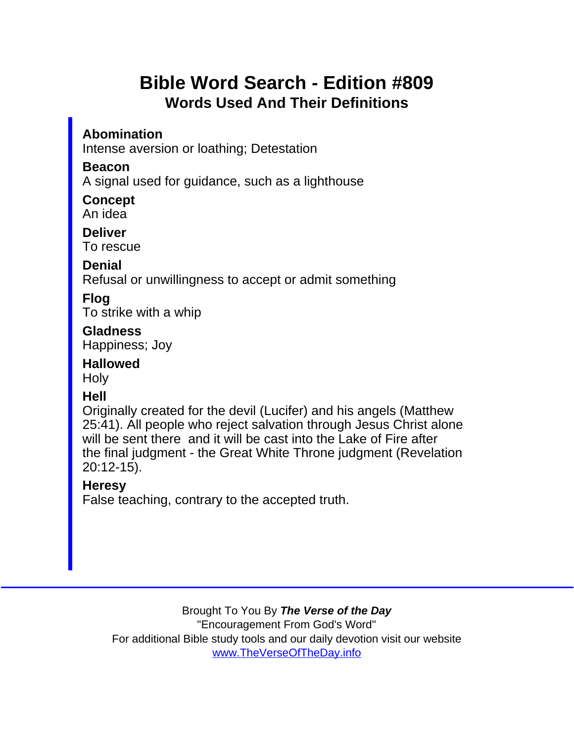## Bible Word Search - Edition #809 Words Used And Their Definitions

Abomination Intense aversion or loathing; Detestation

Beacon

A signal used for guidance, such as a lighthouse

**Concept** An idea

**Deliver** To rescue

Denial

Refusal or unwillingness to accept or admit something

Flog

To strike with a whip

**Gladness** Happiness; Joy

Hallowed **Holy** 

Hell

Originally created for the devil (Lucifer) and his angels (Matthew 25:41). All people who reject salvation through Jesus Christ alone will be sent there and it will be cast into the Lake of Fire after the final judgment - the Great White Throne judgment (Revelation 20:12-15).

**Heresy** 

False teaching, contrary to the accepted truth.